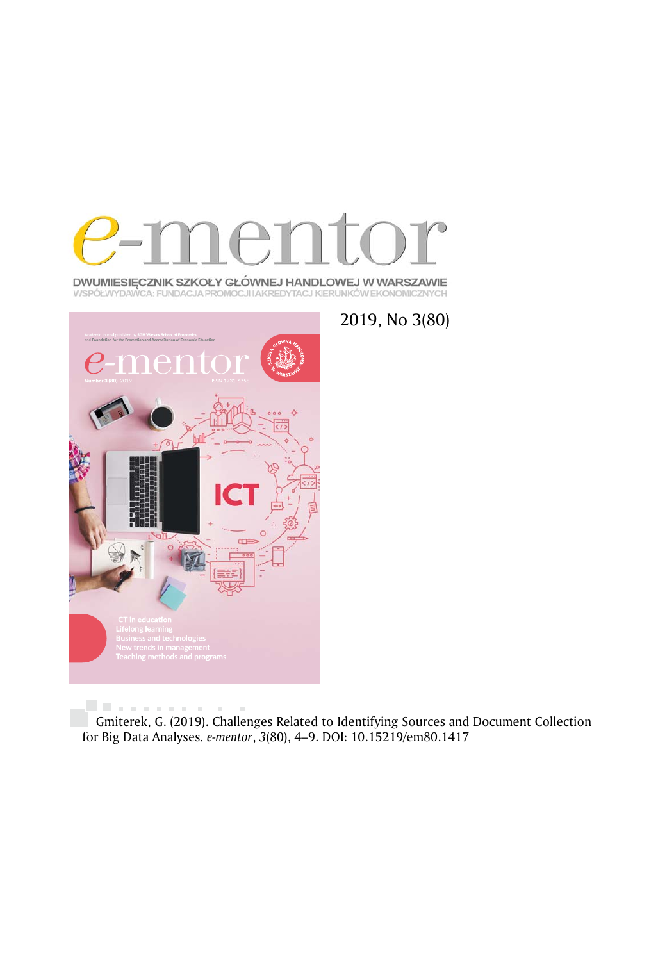

**DWUMIESIĘCZNIK SZKOŁY GŁÓWNEJ HANDLOWEJ W WARSZAWIE**<br>WSPÓŁWYDAWCA: FUNDACJA PROMOCJI IAKREDYTACJ KIERUNKÓW EKONOMICZNYCH



. . . . . . . . . . . . Gmiterek, G. (2019). Challenges Related to Identifying Sources and Document Collection for Big Data Analyses*. e-mentor*, *3*(80), 4–9. DOI: 10.15219/em80.1417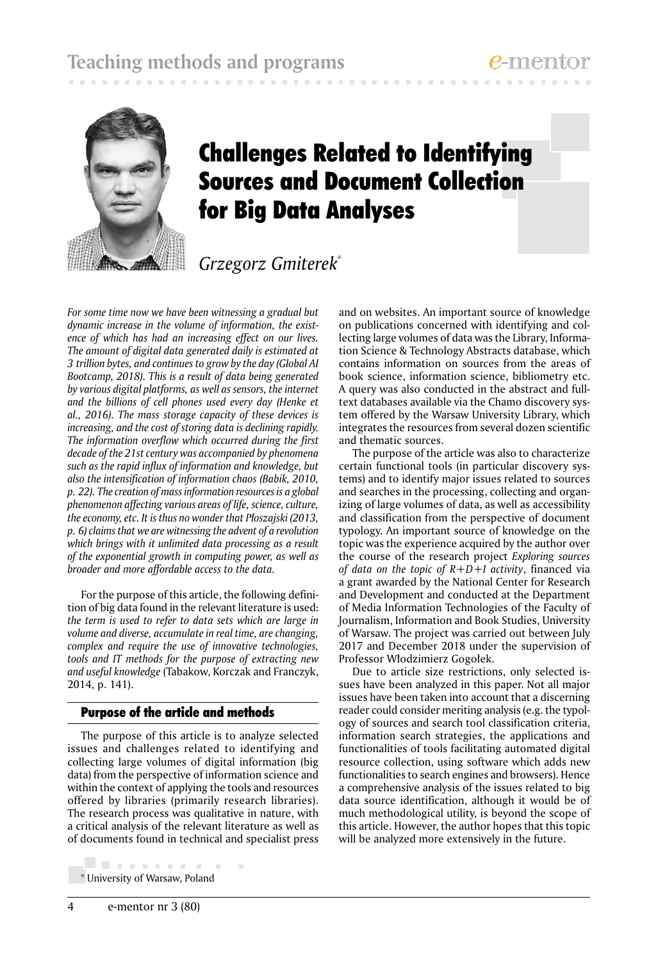

# Challenges Related to Identifying Sources and Document Collection for Big Data Analyses

# *Grzegorz Gmiterek*\*

*For some time now we have been witnessing a gradual but dynamic increase in the volume of information, the existence of which has had an increasing effect on our lives. The amount of digital data generated daily is estimated at 3 trillion bytes, and continues to grow by the day (Global AI Bootcamp, 2018). This is a result of data being generated by various digital platforms, as well as sensors, the internet and the billions of cell phones used every day (Henke et al., 2016). The mass storage capacity of these devices is increasing, and the cost of storing data is declining rapidly. The information overflow which occurred during the first decade of the 21st century was accompanied by phenomena such as the rapid influx of information and knowledge, but also the intensification of information chaos (Babik, 2010, p. 22). The creation of mass information resources is a global phenomenon affecting various areas of life, science, culture, the economy, etc. It is thus no wonder that Płoszajski (2013, p. 6) claims that we are witnessing the advent of a revolution which brings with it unlimited data processing as a result of the exponential growth in computing power, as well as broader and more affordable access to the data.*

For the purpose of this article, the following definition of big data found in the relevant literature is used: *the term is used to refer to data sets which are large in volume and diverse, accumulate in real time, are changing, complex and require the use of innovative technologies, tools and IT methods for the purpose of extracting new and useful knowledge* (Tabakow, Korczak and Franczyk, 2014, p. 141).

# Purpose of the article and methods

The purpose of this article is to analyze selected issues and challenges related to identifying and collecting large volumes of digital information (big data) from the perspective of information science and within the context of applying the tools and resources offered by libraries (primarily research libraries). The research process was qualitative in nature, with a critical analysis of the relevant literature as well as of documents found in technical and specialist press

. . . . . . . . . . . \* University of Warsaw, Poland

and on websites. An important source of knowledge on publications concerned with identifying and collecting large volumes of data was the Library, Information Science & Technology Abstracts database, which contains information on sources from the areas of book science, information science, bibliometry etc. A query was also conducted in the abstract and fulltext databases available via the Chamo discovery system offered by the Warsaw University Library, which integrates the resources from several dozen scientific and thematic sources.

The purpose of the article was also to characterize certain functional tools (in particular discovery systems) and to identify major issues related to sources and searches in the processing, collecting and organizing of large volumes of data, as well as accessibility and classification from the perspective of document typology. An important source of knowledge on the topic was the experience acquired by the author over the course of the research project *Exploring sources of data on the topic of R+D+I activity*, financed via a grant awarded by the National Center for Research and Development and conducted at the Department of Media Information Technologies of the Faculty of Journalism, Information and Book Studies, University of Warsaw. The project was carried out between July 2017 and December 2018 under the supervision of Professor Włodzimierz Gogołek.

Due to article size restrictions, only selected issues have been analyzed in this paper. Not all major issues have been taken into account that a discerning reader could consider meriting analysis (e.g. the typology of sources and search tool classification criteria, information search strategies, the applications and functionalities of tools facilitating automated digital resource collection, using software which adds new functionalities to search engines and browsers). Hence a comprehensive analysis of the issues related to big data source identification, although it would be of much methodological utility, is beyond the scope of this article. However, the author hopes that this topic will be analyzed more extensively in the future.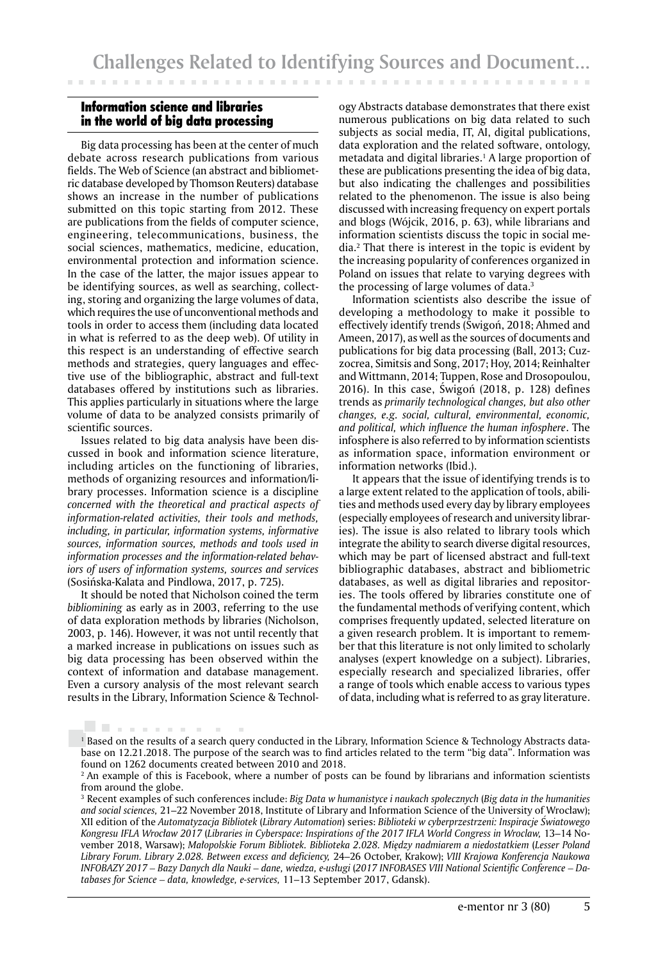### Information science and libraries in the world of big data processing

Big data processing has been at the center of much debate across research publications from various fields. The Web of Science (an abstract and bibliometric database developed by Thomson Reuters) database shows an increase in the number of publications submitted on this topic starting from 2012. These are publications from the fields of computer science, engineering, telecommunications, business, the social sciences, mathematics, medicine, education, environmental protection and information science. In the case of the latter, the major issues appear to be identifying sources, as well as searching, collecting, storing and organizing the large volumes of data, which requires the use of unconventional methods and tools in order to access them (including data located in what is referred to as the deep web). Of utility in this respect is an understanding of effective search methods and strategies, query languages and effective use of the bibliographic, abstract and full-text databases offered by institutions such as libraries. This applies particularly in situations where the large volume of data to be analyzed consists primarily of scientific sources.

Issues related to big data analysis have been discussed in book and information science literature, including articles on the functioning of libraries, methods of organizing resources and information/library processes. Information science is a discipline *concerned with the theoretical and practical aspects of information-related activities, their tools and methods, including, in particular, information systems, informative sources, information sources, methods and tools used in information processes and the information-related behaviors of users of information systems, sources and services* (Sosińska-Kalata and Pindlowa, 2017, p. 725).

It should be noted that Nicholson coined the term *bibliomining* as early as in 2003, referring to the use of data exploration methods by libraries (Nicholson, 2003, p. 146). However, it was not until recently that a marked increase in publications on issues such as big data processing has been observed within the context of information and database management. Even a cursory analysis of the most relevant search results in the Library, Information Science & Technol-

. . . . . . . . . .

ogy Abstracts database demonstrates that there exist numerous publications on big data related to such subjects as social media, IT, AI, digital publications, data exploration and the related software, ontology, metadata and digital libraries.<sup>1</sup> A large proportion of these are publications presenting the idea of big data, but also indicating the challenges and possibilities related to the phenomenon. The issue is also being discussed with increasing frequency on expert portals and blogs (Wójcik, 2016, p. 63), while librarians and information scientists discuss the topic in social media.2 That there is interest in the topic is evident by the increasing popularity of conferences organized in Poland on issues that relate to varying degrees with the processing of large volumes of data.3

Information scientists also describe the issue of developing a methodology to make it possible to effectively identify trends (Świgoń, 2018; Ahmed and Ameen, 2017), as well as the sources of documents and publications for big data processing (Ball, 2013; Cuzzocrea, Simitsis and Song, 2017; Hoy, 2014; Reinhalter and Wittmann, 2014; Tuppen, Rose and Drosopoulou, 2016). In this case, Świgoń (2018, p. 128) defines trends as *primarily technological changes, but also other changes, e.g. social, cultural, environmental, economic, and political, which influence the human infosphere*. The infosphere is also referred to by information scientists as information space, information environment or information networks (Ibid.).

It appears that the issue of identifying trends is to a large extent related to the application of tools, abilities and methods used every day by library employees (especially employees of research and university libraries). The issue is also related to library tools which integrate the ability to search diverse digital resources, which may be part of licensed abstract and full-text bibliographic databases, abstract and bibliometric databases, as well as digital libraries and repositories. The tools offered by libraries constitute one of the fundamental methods of verifying content, which comprises frequently updated, selected literature on a given research problem. It is important to remember that this literature is not only limited to scholarly analyses (expert knowledge on a subject). Libraries, especially research and specialized libraries, offer a range of tools which enable access to various types of data, including what is referred to as gray literature.

<sup>&</sup>lt;sup>1</sup> Based on the results of a search query conducted in the Library, Information Science & Technology Abstracts database on 12.21.2018. The purpose of the search was to find articles related to the term "big data". Information was found on 1262 documents created between 2010 and 2018.

<sup>&</sup>lt;sup>2</sup> An example of this is Facebook, where a number of posts can be found by librarians and information scientists from around the globe.

<sup>3</sup> Recent examples of such conferences include: *Big Data w humanistyce i naukach społecznych* (*Big data in the humanities and social sciences,* 21–22 November 2018, Institute of Library and Information Science of the University of Wrocław); XII edition of the *Automatyzacja Bibliotek* (*Library Automation*) series: *Biblioteki w cyberprzestrzeni: Inspiracje Światowego Kongresu IFLA Wrocław 2017* (*Libraries in Cyberspace: Inspirations of the 2017 IFLA World Congress in Wroclaw,* 13–14 November 2018, Warsaw); *Małopolskie Forum Bibliotek. Biblioteka 2.028. Między nadmiarem a niedostatkiem* (*Lesser Poland Library Forum. Library 2.028. Between excess and deficiency,* 24–26 October, Krakow); *VIII Krajowa Konferencja Naukowa INFOBAZY 2017 – Bazy Danych dla Nauki – dane, wiedza, e-usługi* (*2017 INFOBASES VIII National Scientific Conference – Databases for Science – data, knowledge, e-services,* 11–13 September 2017, Gdansk).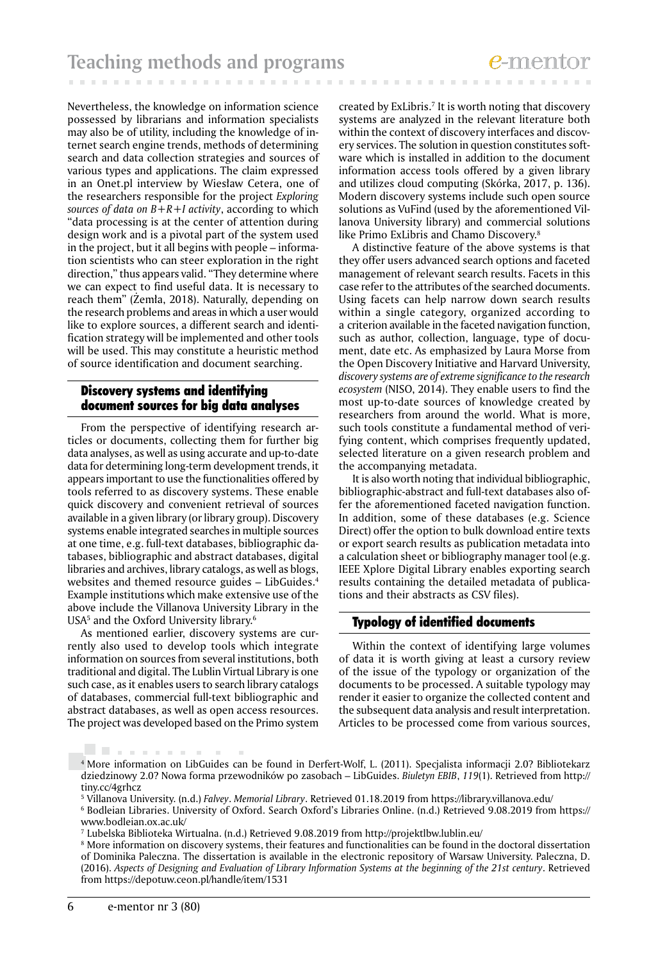Nevertheless, the knowledge on information science possessed by librarians and information specialists may also be of utility, including the knowledge of internet search engine trends, methods of determining search and data collection strategies and sources of various types and applications. The claim expressed in an Onet.pl interview by Wiesław Cetera, one of the researchers responsible for the project *Exploring sources of data on B+R+I activity*, according to which "data processing is at the center of attention during design work and is a pivotal part of the system used in the project, but it all begins with people – information scientists who can steer exploration in the right direction," thus appears valid. "They determine where we can expect to find useful data. It is necessary to reach them" (Żemła, 2018). Naturally, depending on the research problems and areas in which a user would like to explore sources, a different search and identification strategy will be implemented and other tools will be used. This may constitute a heuristic method of source identification and document searching.

#### Discovery systems and identifying document sources for big data analyses

From the perspective of identifying research articles or documents, collecting them for further big data analyses, as well as using accurate and up-to-date data for determining long-term development trends, it appears important to use the functionalities offered by tools referred to as discovery systems. These enable quick discovery and convenient retrieval of sources available in a given library (or library group). Discovery systems enable integrated searches in multiple sources at one time, e.g. full-text databases, bibliographic databases, bibliographic and abstract databases, digital libraries and archives, library catalogs, as well as blogs, websites and themed resource guides – LibGuides.<sup>4</sup> Example institutions which make extensive use of the above include the Villanova University Library in the USA5 and the Oxford University library.6

As mentioned earlier, discovery systems are currently also used to develop tools which integrate information on sources from several institutions, both traditional and digital. The Lublin Virtual Library is one such case, as it enables users to search library catalogs of databases, commercial full-text bibliographic and abstract databases, as well as open access resources. The project was developed based on the Primo system

 $\sim$  10

created by ExLibris.7 It is worth noting that discovery systems are analyzed in the relevant literature both within the context of discovery interfaces and discovery services. The solution in question constitutes software which is installed in addition to the document information access tools offered by a given library and utilizes cloud computing (Skórka, 2017, p. 136). Modern discovery systems include such open source solutions as VuFind (used by the aforementioned Villanova University library) and commercial solutions like Primo ExLibris and Chamo Discovery.8

A distinctive feature of the above systems is that they offer users advanced search options and faceted management of relevant search results. Facets in this case refer to the attributes of the searched documents. Using facets can help narrow down search results within a single category, organized according to a criterion available in the faceted navigation function, such as author, collection, language, type of document, date etc. As emphasized by Laura Morse from the Open Discovery Initiative and Harvard University, *discovery systems are of extreme significance to the research ecosystem* (NISO, 2014). They enable users to find the most up-to-date sources of knowledge created by researchers from around the world. What is more, such tools constitute a fundamental method of verifying content, which comprises frequently updated, selected literature on a given research problem and the accompanying metadata.

It is also worth noting that individual bibliographic, bibliographic-abstract and full-text databases also offer the aforementioned faceted navigation function. In addition, some of these databases (e.g. Science Direct) offer the option to bulk download entire texts or export search results as publication metadata into a calculation sheet or bibliography manager tool (e.g. IEEE Xplore Digital Library enables exporting search results containing the detailed metadata of publications and their abstracts as CSV files).

#### Typology of identified documents

Within the context of identifying large volumes of data it is worth giving at least a cursory review of the issue of the typology or organization of the documents to be processed. A suitable typology may render it easier to organize the collected content and the subsequent data analysis and result interpretation. Articles to be processed come from various sources,

. . . . . . . . . . .

<sup>4</sup> More information on LibGuides can be found in Derfert-Wolf, L. (2011). Specjalista informacji 2.0? Bibliotekarz dziedzinowy 2.0? Nowa forma przewodników po zasobach – LibGuides. *Biuletyn EBIB*, *119*(1). Retrieved from http:// tiny.cc/4grhcz

<sup>5</sup> Villanova University. (n.d.) *Falvey*. *Memorial Library*. Retrieved 01.18.2019 from https://library.villanova.edu/

<sup>6</sup> Bodleian Libraries. University of Oxford. Search Oxford's Libraries Online. (n.d.) Retrieved 9.08.2019 from https:// www.bodleian.ox.ac.uk/

<sup>7</sup> Lubelska Biblioteka Wirtualna. (n.d.) Retrieved 9.08.2019 from http://projektlbw.lublin.eu/

<sup>&</sup>lt;sup>8</sup> More information on discovery systems, their features and functionalities can be found in the doctoral dissertation of Dominika Paleczna. The dissertation is available in the electronic repository of Warsaw University. Paleczna, D. (2016). *Aspects of Designing and Evaluation of Library Information Systems at the beginning of the 21st century*. Retrieved from https://depotuw.ceon.pl/handle/item/1531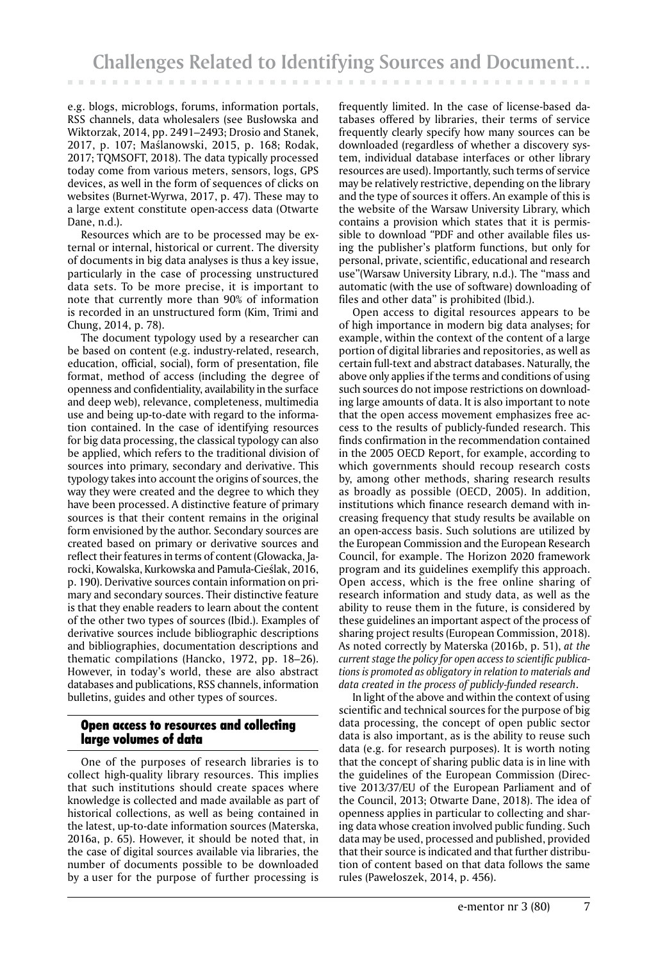e.g. blogs, microblogs, forums, information portals, RSS channels, data wholesalers (see Busłowska and Wiktorzak, 2014, pp. 2491–2493; Drosio and Stanek, 2017, p. 107; Maślanowski, 2015, p. 168; Rodak, 2017; TQMSOFT, 2018). The data typically processed today come from various meters, sensors, logs, GPS devices, as well in the form of sequences of clicks on websites (Burnet-Wyrwa, 2017, p. 47). These may to a large extent constitute open-access data (Otwarte Dane, n.d.).

Resources which are to be processed may be external or internal, historical or current. The diversity of documents in big data analyses is thus a key issue, particularly in the case of processing unstructured data sets. To be more precise, it is important to note that currently more than 90% of information is recorded in an unstructured form (Kim, Trimi and Chung, 2014, p. 78).

The document typology used by a researcher can be based on content (e.g. industry-related, research, education, official, social), form of presentation, file format, method of access (including the degree of openness and confidentiality, availability in the surface and deep web), relevance, completeness, multimedia use and being up-to-date with regard to the information contained. In the case of identifying resources for big data processing, the classical typology can also be applied, which refers to the traditional division of sources into primary, secondary and derivative. This typology takes into account the origins of sources, the way they were created and the degree to which they have been processed. A distinctive feature of primary sources is that their content remains in the original form envisioned by the author. Secondary sources are created based on primary or derivative sources and reflect their features in terms of content (Głowacka, Jarocki, Kowalska, Kurkowska and Pamuła-Cieślak, 2016, p. 190). Derivative sources contain information on primary and secondary sources. Their distinctive feature is that they enable readers to learn about the content of the other two types of sources (Ibid.). Examples of derivative sources include bibliographic descriptions and bibliographies, documentation descriptions and thematic compilations (Hancko, 1972, pp. 18–26). However, in today's world, these are also abstract databases and publications, RSS channels, information bulletins, guides and other types of sources.

## Open access to resources and collecting large volumes of data

One of the purposes of research libraries is to collect high-quality library resources. This implies that such institutions should create spaces where knowledge is collected and made available as part of historical collections, as well as being contained in the latest, up-to-date information sources (Materska, 2016a, p. 65). However, it should be noted that, in the case of digital sources available via libraries, the number of documents possible to be downloaded by a user for the purpose of further processing is

frequently limited. In the case of license-based databases offered by libraries, their terms of service frequently clearly specify how many sources can be downloaded (regardless of whether a discovery system, individual database interfaces or other library resources are used). Importantly, such terms of service may be relatively restrictive, depending on the library and the type of sources it offers. An example of this is the website of the Warsaw University Library, which contains a provision which states that it is permissible to download *"*PDF and other available files using the publisher's platform functions, but only for personal, private, scientific, educational and research use"(Warsaw University Library, n.d.). The "mass and automatic (with the use of software) downloading of files and other data" is prohibited (Ibid.).

Open access to digital resources appears to be of high importance in modern big data analyses; for example, within the context of the content of a large portion of digital libraries and repositories, as well as certain full-text and abstract databases. Naturally, the above only applies if the terms and conditions of using such sources do not impose restrictions on downloading large amounts of data. It is also important to note that the open access movement emphasizes free access to the results of publicly-funded research. This finds confirmation in the recommendation contained in the 2005 OECD Report, for example, according to which governments should recoup research costs by, among other methods, sharing research results as broadly as possible (OECD, 2005). In addition, institutions which finance research demand with increasing frequency that study results be available on an open-access basis. Such solutions are utilized by the European Commission and the European Research Council, for example. The Horizon 2020 framework program and its guidelines exemplify this approach. Open access, which is the free online sharing of research information and study data, as well as the ability to reuse them in the future, is considered by these guidelines an important aspect of the process of sharing project results (European Commission, 2018). As noted correctly by Materska (2016b, p. 51), *at the current stage the policy for open access to scientific publications is promoted as obligatory in relation to materials and data created in the process of publicly-funded research*.

In light of the above and within the context of using scientific and technical sources for the purpose of big data processing, the concept of open public sector data is also important, as is the ability to reuse such data (e.g. for research purposes). It is worth noting that the concept of sharing public data is in line with the guidelines of the European Commission (Directive 2013/37/EU of the European Parliament and of the Council, 2013; Otwarte Dane, 2018). The idea of openness applies in particular to collecting and sharing data whose creation involved public funding. Such data may be used, processed and published, provided that their source is indicated and that further distribution of content based on that data follows the same rules (Pawełoszek, 2014, p. 456).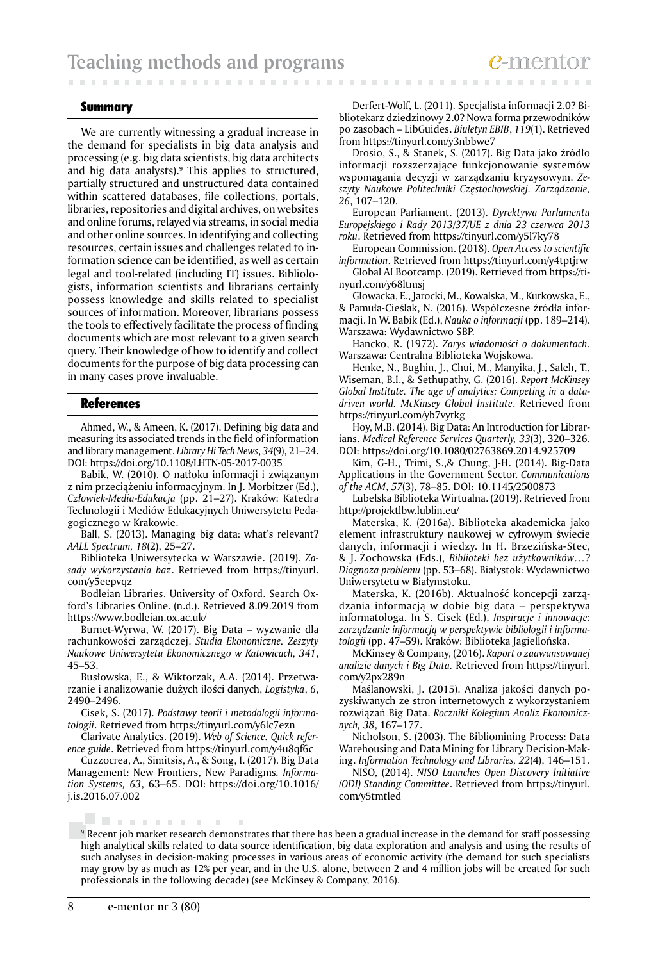#### Summary

We are currently witnessing a gradual increase in the demand for specialists in big data analysis and processing (e.g. big data scientists, big data architects and big data analysts).9 This applies to structured, partially structured and unstructured data contained within scattered databases, file collections, portals, libraries, repositories and digital archives, on websites and online forums, relayed via streams, in social media and other online sources. In identifying and collecting resources, certain issues and challenges related to information science can be identified, as well as certain legal and tool-related (including IT) issues. Bibliologists, information scientists and librarians certainly possess knowledge and skills related to specialist sources of information. Moreover, librarians possess the tools to effectively facilitate the process of finding documents which are most relevant to a given search query. Their knowledge of how to identify and collect documents for the purpose of big data processing can in many cases prove invaluable.

#### References

Ahmed, W., & Ameen, K. (2017). Defining big data and measuring its associated trends in the field of information and library management. *Library Hi Tech News*, *34*(9), 21–24. DOI: https://doi.org/10.1108/LHTN-05-2017-0035

Babik, W. (2010). O natłoku informacji i związanym z nim przeciążeniu informacyjnym. In J. Morbitzer (Ed.), *Człowiek-Media-Edukacja* (pp. 21–27). Kraków: Katedra Technologii i Mediów Edukacyjnych Uniwersytetu Pedagogicznego w Krakowie.

Ball, S. (2013). Managing big data: what's relevant? *AALL Spectrum, 18*(2), 25–27.

Biblioteka Uniwersytecka w Warszawie. (2019). *Zasady wykorzystania baz*. Retrieved from https://tinyurl. com/y5eepvqz

Bodleian Libraries. University of Oxford. Search Oxford's Libraries Online. (n.d.). Retrieved 8.09.2019 from https://www.bodleian.ox.ac.uk/

Burnet-Wyrwa, W. (2017). Big Data – wyzwanie dla rachunkowości zarządczej. *Studia Ekonomiczne. Zeszyty Naukowe Uniwersytetu Ekonomicznego w Katowicach, 341*, 45–53.

Busłowska, E., & Wiktorzak, A.A. (2014). Przetwarzanie i analizowanie dużych ilości danych, *Logistyka*, *6*, 2490–2496.

Cisek, S. (2017). *Podstawy teorii i metodologii informatologii*. Retrieved from https://tinyurl.com/y6lc7ezn

Clarivate Analytics. (2019). *Web of Science. Quick reference guide*. Retrieved from https://tinyurl.com/y4u8qf6c

Cuzzocrea, A., Simitsis, A., & Song, I. (2017). Big Data Management: New Frontiers, New Paradigms*. Information Systems, 63*, 63–65. DOI: https://doi.org/10.1016/ j.is.2016.07.002

 $\sim$ 

Derfert-Wolf, L. (2011). Specjalista informacji 2.0? Bibliotekarz dziedzinowy 2.0? Nowa forma przewodników po zasobach – LibGuides. *Biuletyn EBIB*, *119*(1). Retrieved from https://tinyurl.com/y3nbbwe7

**CONTRACTOR** 

Drosio, S., & Stanek, S. (2017). Big Data jako źródło informacji rozszerzające funkcjonowanie systemów wspomagania decyzji w zarządzaniu kryzysowym. *Zeszyty Naukowe Politechniki Częstochowskiej. Zarządzanie, 26*, 107–120.

European Parliament. (2013). *Dyrektywa Parlamentu Europejskiego i Rady 2013/37/UE z dnia 23 czerwca 2013 roku*. Retrieved from https://tinyurl.com/y5l7ky78

European Commission. (2018). *Open Access to scientific information*. Retrieved from https://tinyurl.com/y4tptjrw

Global AI Bootcamp. (2019). Retrieved from https://tinyurl.com/y68ltmsj

Głowacka, E., Jarocki, M., Kowalska, M., Kurkowska, E., & Pamuła-Cieślak, N. (2016). Współczesne źródła informacji. In W. Babik (Ed.), *Nauka o informacji* (pp. 189–214). Warszawa: Wydawnictwo SBP.

Hancko, R. (1972). *Zarys wiadomości o dokumentach*. Warszawa: Centralna Biblioteka Wojskowa.

Henke, N., Bughin, J., Chui, M., Manyika, J., Saleh, T., Wiseman, B.I., & Sethupathy, G. (2016). *Report McKinsey Global Institute. The age of analytics: Competing in a datadriven world. McKinsey Global Institute*. Retrieved from https://tinyurl.com/yb7vytkg

Hoy, M.B. (2014). Big Data: An Introduction for Librarians. *Medical Reference Services Quarterly, 33*(3), 320–326. DOI: https://doi.org/10.1080/02763869.2014.925709

Kim, G-H., Trimi, S.,& Chung, J-H. (2014). Big-Data Applications in the Government Sector. *Communications of the ACM*, *57*(3), 78–85. DOI: 10.1145/2500873

Lubelska Biblioteka Wirtualna. (2019). Retrieved from http://projektlbw.lublin.eu/

Materska, K. (2016a). Biblioteka akademicka jako element infrastruktury naukowej w cyfrowym świecie danych, informacji i wiedzy. In H. Brzezińska-Stec, & J. Żochowska (Eds.), *Biblioteki bez użytkowników…? Diagnoza problemu* (pp. 53–68). Białystok: Wydawnictwo Uniwersytetu w Białymstoku.

Materska, K. (2016b). Aktualność koncepcji zarządzania informacją w dobie big data – perspektywa informatologa. In S. Cisek (Ed.), *Inspiracje i innowacje: zarządzanie informacją w perspektywie bibliologii i informatologii* (pp. 47–59). Kraków: Biblioteka Jagiellońska.

McKinsey & Company, (2016). *Raport o zaawansowanej analizie danych i Big Data.* Retrieved from https://tinyurl. com/y2px289n

Maślanowski, J. (2015). Analiza jakości danych pozyskiwanych ze stron internetowych z wykorzystaniem rozwiązań Big Data. *Roczniki Kolegium Analiz Ekonomicznych, 38*, 167–177.

Nicholson, S. (2003). The Bibliomining Process: Data Warehousing and Data Mining for Library Decision-Making. *Information Technology and Libraries, 22*(4), 146–151.

NISO, (2014). *NISO Launches Open Discovery Initiative (ODI) Standing Committee*. Retrieved from https://tinyurl. com/y5tmtled

. . . . . . . . . 9 Recent job market research demonstrates that there has been a gradual increase in the demand for staff possessing high analytical skills related to data source identification, big data exploration and analysis and using the results of such analyses in decision-making processes in various areas of economic activity (the demand for such specialists may grow by as much as 12% per year, and in the U.S. alone, between 2 and 4 million jobs will be created for such professionals in the following decade) (see McKinsey & Company, 2016).